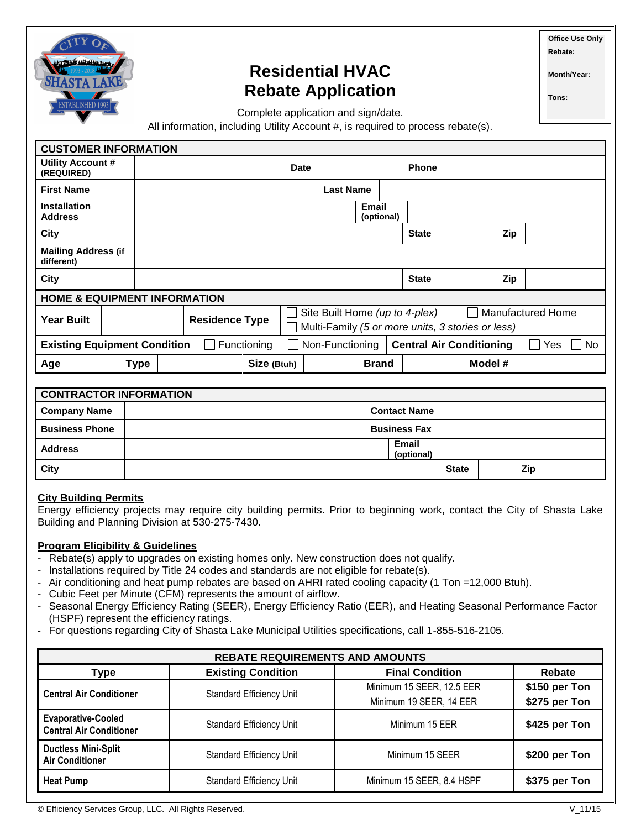

# **Residential HVAC Rebate Application**

**Office Use Only Rebate:** 

**Month/Year:**

**Tons:**

Complete application and sign/date.

All information, including Utility Account #, is required to process rebate(s).

| <b>CUSTOMER INFORMATION</b>                                                                                                  |             |                                                                                                                                                            |  |             |             |                  |                            |              |         |     |  |
|------------------------------------------------------------------------------------------------------------------------------|-------------|------------------------------------------------------------------------------------------------------------------------------------------------------------|--|-------------|-------------|------------------|----------------------------|--------------|---------|-----|--|
| Utility Account #<br>(REQUIRED)                                                                                              |             |                                                                                                                                                            |  |             | <b>Date</b> |                  |                            | <b>Phone</b> |         |     |  |
| <b>First Name</b>                                                                                                            |             |                                                                                                                                                            |  |             |             | <b>Last Name</b> |                            |              |         |     |  |
| <b>Installation</b><br><b>Address</b>                                                                                        |             |                                                                                                                                                            |  |             |             |                  | <b>Email</b><br>(optional) |              |         |     |  |
| City                                                                                                                         |             |                                                                                                                                                            |  |             |             |                  |                            | <b>State</b> |         | Zip |  |
| <b>Mailing Address (if</b><br>different)                                                                                     |             |                                                                                                                                                            |  |             |             |                  |                            |              |         |     |  |
| City                                                                                                                         |             |                                                                                                                                                            |  |             |             |                  |                            | <b>State</b> |         | Zip |  |
| <b>HOME &amp; EQUIPMENT INFORMATION</b>                                                                                      |             |                                                                                                                                                            |  |             |             |                  |                            |              |         |     |  |
| <b>Year Built</b>                                                                                                            |             | <b>Manufactured Home</b><br>Site Built Home (up to 4-plex)<br>$\blacksquare$<br><b>Residence Type</b><br>Multi-Family (5 or more units, 3 stories or less) |  |             |             |                  |                            |              |         |     |  |
| <b>Existing Equipment Condition</b><br><b>Central Air Conditioning</b><br>Functioning<br>Non-Functioning<br><b>No</b><br>Yes |             |                                                                                                                                                            |  |             |             |                  |                            |              |         |     |  |
| Age                                                                                                                          | <b>Type</b> |                                                                                                                                                            |  | Size (Btuh) |             |                  | <b>Brand</b>               |              | Model # |     |  |

| <b>CONTRACTOR INFORMATION</b> |                     |                     |                     |              |  |     |  |
|-------------------------------|---------------------|---------------------|---------------------|--------------|--|-----|--|
| <b>Company Name</b>           | <b>Contact Name</b> |                     |                     |              |  |     |  |
| <b>Business Phone</b>         |                     | <b>Business Fax</b> |                     |              |  |     |  |
| <b>Address</b>                |                     |                     | Email<br>(optional) |              |  |     |  |
| City                          |                     |                     |                     | <b>State</b> |  | Zip |  |

### **City Building Permits**

Energy efficiency projects may require city building permits. Prior to beginning work, contact the City of Shasta Lake Building and Planning Division at 530-275-7430.

#### **Program Eligibility & Guidelines**

- Rebate(s) apply to upgrades on existing homes only. New construction does not qualify.
- Installations required by Title 24 codes and standards are not eligible for rebate(s).
- Air conditioning and heat pump rebates are based on AHRI rated cooling capacity (1 Ton =12,000 Btuh).
- Cubic Feet per Minute (CFM) represents the amount of airflow.
- Seasonal Energy Efficiency Rating (SEER), Energy Efficiency Ratio (EER), and Heating Seasonal Performance Factor (HSPF) represent the efficiency ratings.
- For questions regarding City of Shasta Lake Municipal Utilities specifications, call 1-855-516-2105.

| <b>REBATE REQUIREMENTS AND AMOUNTS</b>                      |                                 |                           |               |  |  |
|-------------------------------------------------------------|---------------------------------|---------------------------|---------------|--|--|
| Type                                                        | <b>Existing Condition</b>       | <b>Final Condition</b>    | <b>Rebate</b> |  |  |
| <b>Central Air Conditioner</b>                              | <b>Standard Efficiency Unit</b> | Minimum 15 SEER, 12.5 EER | \$150 per Ton |  |  |
|                                                             |                                 | Minimum 19 SEER, 14 EER   | \$275 per Ton |  |  |
| <b>Evaporative-Cooled</b><br><b>Central Air Conditioner</b> | <b>Standard Efficiency Unit</b> | Minimum 15 EER            | \$425 per Ton |  |  |
| <b>Ductless Mini-Split</b><br><b>Air Conditioner</b>        | <b>Standard Efficiency Unit</b> | Minimum 15 SEER           | \$200 per Ton |  |  |
| <b>Heat Pump</b>                                            | <b>Standard Efficiency Unit</b> | Minimum 15 SEER, 8.4 HSPF | \$375 per Ton |  |  |